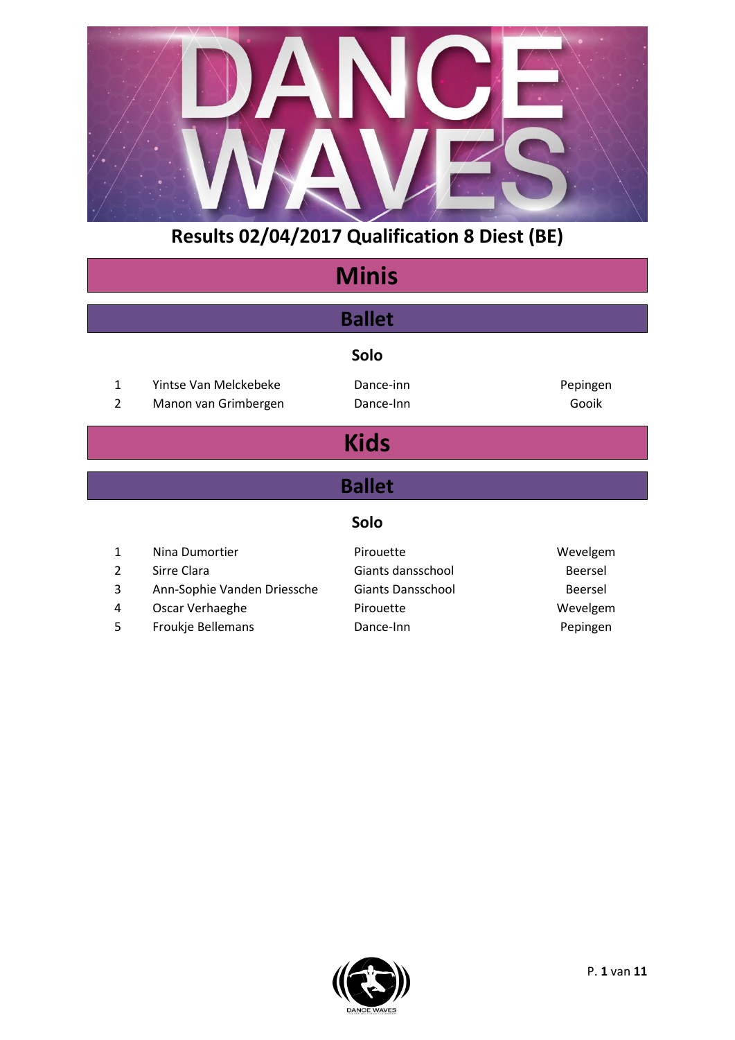

| <b>Minis</b>   |                             |                          |                |  |
|----------------|-----------------------------|--------------------------|----------------|--|
|                | <b>Ballet</b>               |                          |                |  |
|                |                             | Solo                     |                |  |
| $\mathbf{1}$   | Yintse Van Melckebeke       | Dance-inn                | Pepingen       |  |
| $\overline{2}$ | Manon van Grimbergen        | Dance-Inn                | Gooik          |  |
|                |                             | <b>Kids</b>              |                |  |
|                |                             | <b>Ballet</b>            |                |  |
|                |                             | Solo                     |                |  |
| 1              | Nina Dumortier              | Pirouette                | Wevelgem       |  |
| $\overline{2}$ | Sirre Clara                 | Giants dansschool        | <b>Beersel</b> |  |
| 3              | Ann-Sophie Vanden Driessche | <b>Giants Dansschool</b> | Beersel        |  |
| 4              | Oscar Verhaeghe             | Pirouette                | Wevelgem       |  |
| 5              | Froukje Bellemans           | Dance-Inn                | Pepingen       |  |

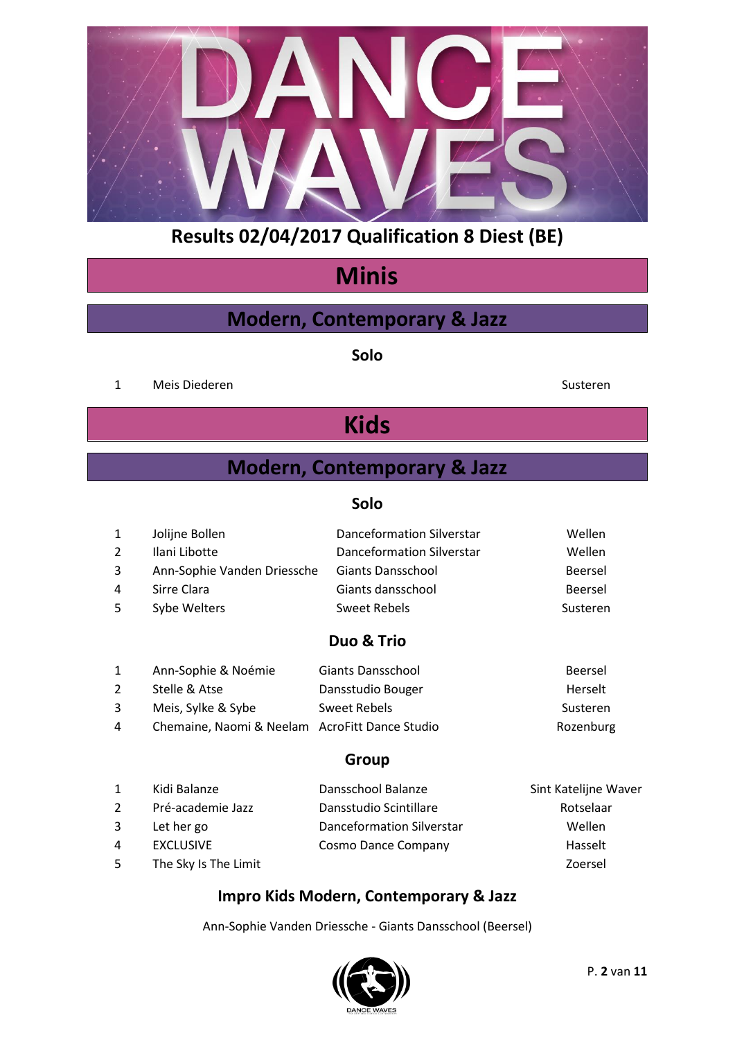

# **Minis**

## **Modern, Contemporary & Jazz**

**Solo**

1 Meis Diederen Susteren Susteren Susteren Susteren Susteren Susteren Susteren Susteren Susteren Susteren Susteren Susteren Susteren Susteren Susteren Susteren Susteren Susteren Susteren Susteren Susteren Susteren Susteren

# **Kids**

## **Modern, Contemporary & Jazz**

## **Solo**

| $\mathbf{1}$ | Jolijne Bollen              | Danceformation Silverstar | Wellen   |
|--------------|-----------------------------|---------------------------|----------|
| 2            | Ilani Libotte               | Danceformation Silverstar | Wellen   |
| 3            | Ann-Sophie Vanden Driessche | <b>Giants Dansschool</b>  | Beersel  |
| 4            | Sirre Clara                 | Giants dansschool         | Beersel  |
| 5            | Sybe Welters                | Sweet Rebels              | Susteren |

## **Duo & Trio**

| 1 | Ann-Sophie & Noémie                            | Giants Dansschool | Beersel   |
|---|------------------------------------------------|-------------------|-----------|
| 2 | Stelle & Atse                                  | Dansstudio Bouger | Herselt   |
| 3 | Meis, Sylke & Sybe                             | Sweet Rebels      | Susteren  |
| 4 | Chemaine, Naomi & Neelam AcroFitt Dance Studio |                   | Rozenburg |

## **Group**

| $\mathbf{1}$ | Kidi Balanze         | Dansschool Balanze        | Sint Katelijne Waver |
|--------------|----------------------|---------------------------|----------------------|
| 2            | Pré-academie Jazz    | Dansstudio Scintillare    | Rotselaar            |
| 3            | Let her go           | Danceformation Silverstar | <b>Wellen</b>        |
| 4            | <b>EXCLUSIVE</b>     | Cosmo Dance Company       | Hasselt              |
| 5            | The Sky Is The Limit |                           | Zoersel              |

## **Impro Kids Modern, Contemporary & Jazz**

Ann-Sophie Vanden Driessche - Giants Dansschool (Beersel)

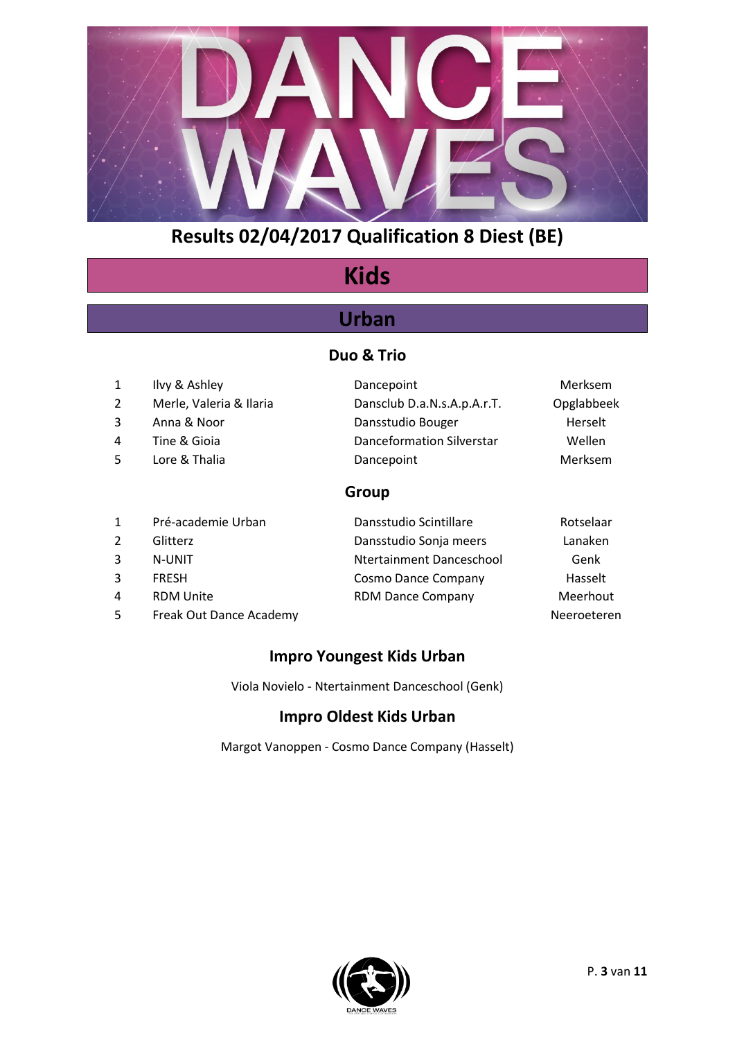

# **Kids**

## **Urban**

## **Duo & Trio**

|    | Ilvy & Ashley           | Dancepoint                       | Merksem    |
|----|-------------------------|----------------------------------|------------|
|    | Merle, Valeria & Ilaria | Dansclub D.a.N.s.A.p.A.r.T.      | Opglabbeek |
| 3. | Anna & Noor             | Dansstudio Bouger                | Herselt    |
| 4  | Tine & Gioia            | <b>Danceformation Silverstar</b> | Wellen     |
| 5. | Lore & Thalia           | Dancepoint                       | Merksem    |
|    |                         |                                  |            |

## **Group**

| $\mathbf{1}$ | Pré-academie Urban      | Dansstudio Scintillare   | Rotselaar   |
|--------------|-------------------------|--------------------------|-------------|
| 2            | Glitterz                | Dansstudio Sonja meers   | Lanaken     |
| 3            | N-UNIT                  | Ntertainment Danceschool | Genk        |
| 3            | <b>FRESH</b>            | Cosmo Dance Company      | Hasselt     |
| 4            | <b>RDM Unite</b>        | <b>RDM Dance Company</b> | Meerhout    |
| 5            | Freak Out Dance Academy |                          | Neeroeteren |

## **Impro Youngest Kids Urban**

Viola Novielo - Ntertainment Danceschool (Genk)

## **Impro Oldest Kids Urban**

Margot Vanoppen - Cosmo Dance Company (Hasselt)

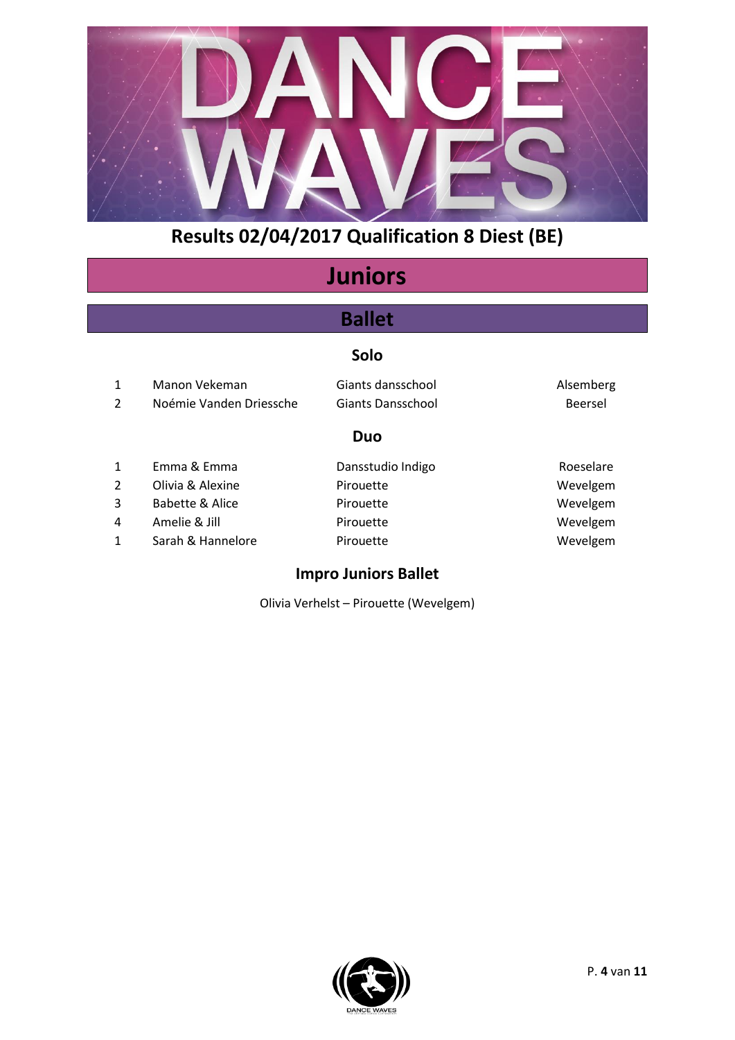

# **Juniors**

## **Ballet**

## **Solo**

| $\mathbf{1}$  | Manon Vekeman           | Giants dansschool | Alsemberg |
|---------------|-------------------------|-------------------|-----------|
| 2             | Noémie Vanden Driessche | Giants Dansschool | Beersel   |
|               |                         | Duo               |           |
| $\mathbf{1}$  | Emma & Emma             | Dansstudio Indigo | Roeselare |
| $\mathcal{P}$ | Olivia & Alexine        | Pirouette         | Wevelgem  |

3 Babette & Alice Pirouette Provence Provence Wevelgem 4 Amelie & Jill **Pirouette** Pirouette Wevelgem 1 Sarah & Hannelore Pirouette Provence Wevelgem

#### **Impro Juniors Ballet**

Olivia Verhelst – Pirouette (Wevelgem)

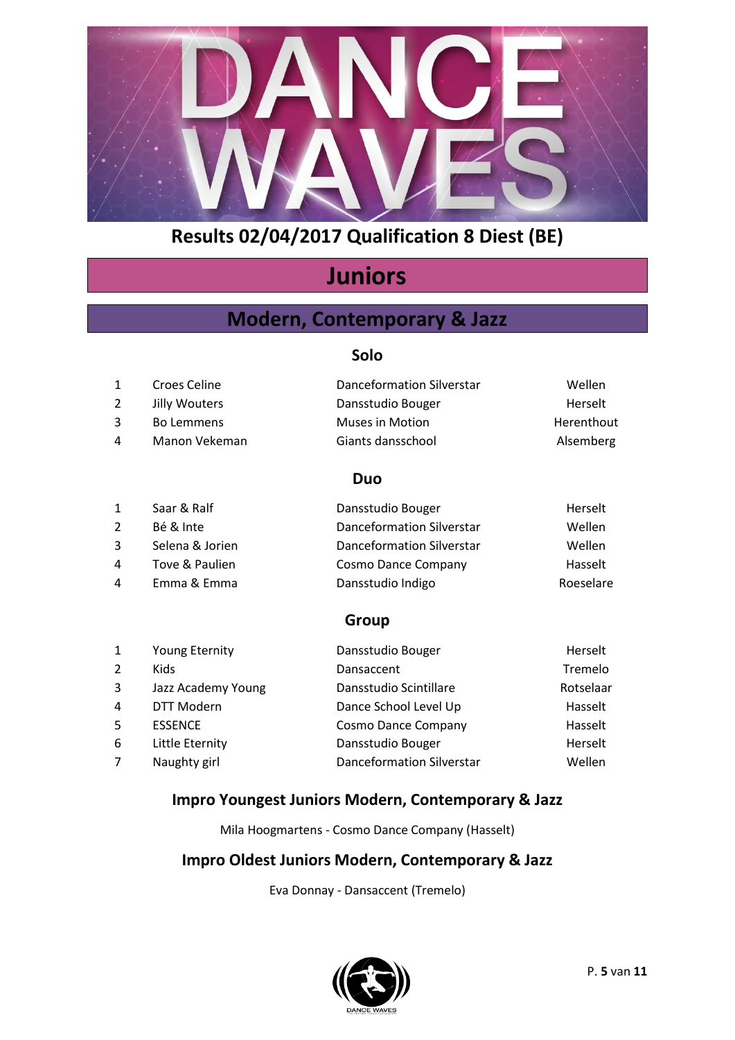

# **Juniors**

## **Modern, Contemporary & Jazz**

#### **Solo**

| 1            | Croes Celine  | Danceformation Silverstar | Wellen     |
|--------------|---------------|---------------------------|------------|
| 2            | Jilly Wouters | Dansstudio Bouger         | Herselt    |
| $\mathbf{3}$ | Bo Lemmens    | <b>Muses in Motion</b>    | Herenthout |
| 4            | Manon Vekeman | Giants dansschool         | Alsemberg  |

## **Duo**

| Saar & Ralf     | Dansstudio Bouger                | Herselt   |
|-----------------|----------------------------------|-----------|
| Bé & Inte       | <b>Danceformation Silverstar</b> | Wellen    |
| Selena & Jorien | Danceformation Silverstar        | Wellen    |
| Tove & Paulien  | Cosmo Dance Company              | Hasselt   |
| Emma & Emma     | Dansstudio Indigo                | Roeselare |
|                 |                                  |           |

## **Group**

| $\mathbf{1}$   | <b>Young Eternity</b> | Dansstudio Bouger                | Herselt   |
|----------------|-----------------------|----------------------------------|-----------|
| $\overline{2}$ | <b>Kids</b>           | Dansaccent                       | Tremelo   |
| 3              | Jazz Academy Young    | Dansstudio Scintillare           | Rotselaar |
| 4              | DTT Modern            | Dance School Level Up            | Hasselt   |
| 5              | <b>ESSENCE</b>        | Cosmo Dance Company              | Hasselt   |
| 6              | Little Eternity       | Dansstudio Bouger                | Herselt   |
| $\overline{7}$ | Naughty girl          | <b>Danceformation Silverstar</b> | Wellen    |

## **Impro Youngest Juniors Modern, Contemporary & Jazz**

Mila Hoogmartens - Cosmo Dance Company (Hasselt)

## **Impro Oldest Juniors Modern, Contemporary & Jazz**

Eva Donnay - Dansaccent (Tremelo)

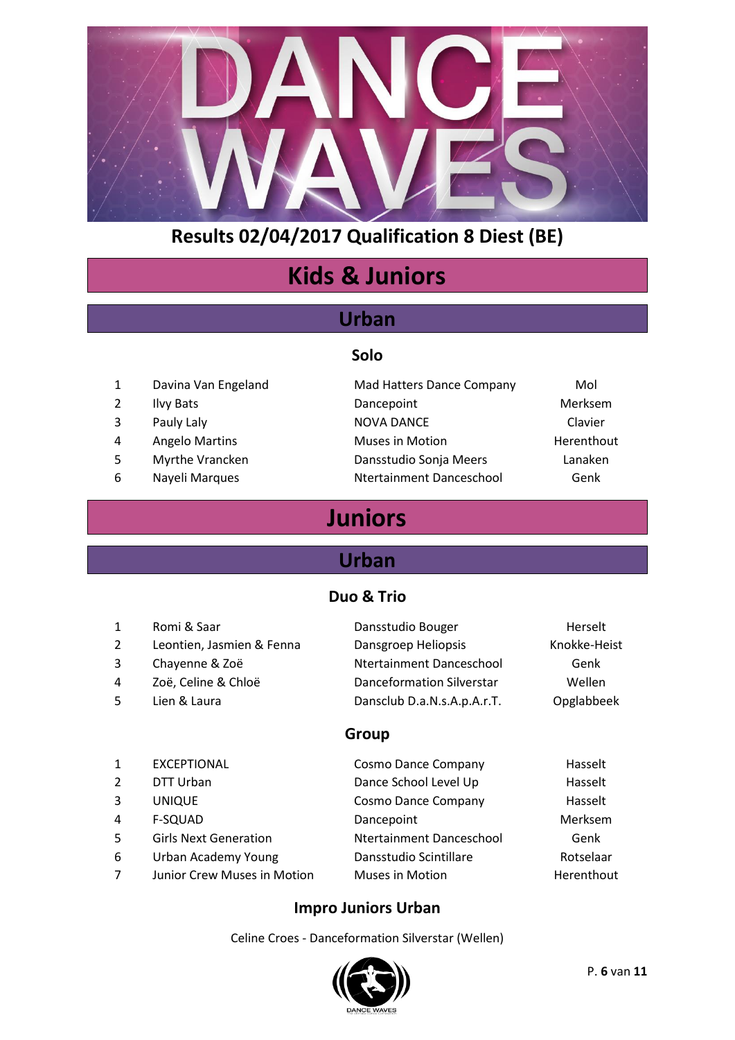

# **Kids & Juniors**

## **Urban**

#### **Solo**

- 
- 
- 
- 
- 
- 
- 1 Davina Van Engeland Mad Hatters Dance Company Mol 2 Ilvy Bats **Dancepoint** Dancepoint Merksem 3 Pauly Laly **NOVA DANCE** Clavier 4 Angelo Martins **Muses in Motion** Muses in Motion 5 Myrthe Vrancken Dansstudio Sonja Meers Lanaken 6 Nayeli Marques Ntertainment Danceschool Genk
	-

# **Juniors**

## **Urban**

## **Duo & Trio**

| $\mathbf{1}$ | Romi & Saar               | Dansstudio Bouger                | Herselt      |
|--------------|---------------------------|----------------------------------|--------------|
| 2            | Leontien, Jasmien & Fenna | Dansgroep Heliopsis              | Knokke-Heist |
| 3            | Chayenne & Zoë            | Ntertainment Danceschool         | Genk         |
| 4            | Zoë, Celine & Chloë       | <b>Danceformation Silverstar</b> | Wellen       |
| 5            | Lien & Laura              | Dansclub D.a.N.s.A.p.A.r.T.      | Opglabbeek   |
|              |                           |                                  |              |

#### **Group**

|                              | Cosmo Dance Company      | Hasselt    |
|------------------------------|--------------------------|------------|
| DTT Urban                    | Dance School Level Up    | Hasselt    |
| <b>UNIQUE</b>                | Cosmo Dance Company      | Hasselt    |
| F-SQUAD                      | Dancepoint               | Merksem    |
| <b>Girls Next Generation</b> | Ntertainment Danceschool | Genk       |
| Urban Academy Young          | Dansstudio Scintillare   | Rotselaar  |
| Junior Crew Muses in Motion  | <b>Muses in Motion</b>   | Herenthout |
|                              | <b>EXCEPTIONAL</b>       |            |

#### **Impro Juniors Urban**

Celine Croes - Danceformation Silverstar (Wellen)

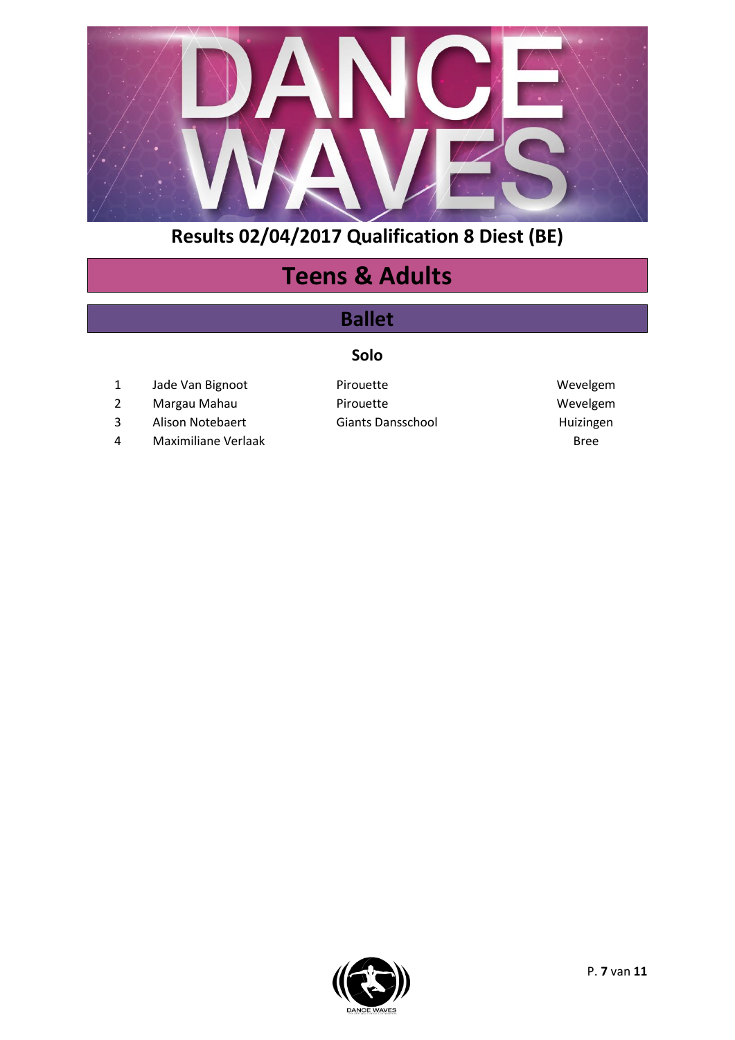

# **Teens & Adults**

## **Ballet**

## **Solo**

- 1 Jade Van Bignoot Pirouette Nevelgem
- 2 Margau Mahau **National Pirouette** Mercente Wevelgem
- 3 Alison Notebaert Giants Dansschool and Huizingen
- 4 Maximiliane Verlaak Bree

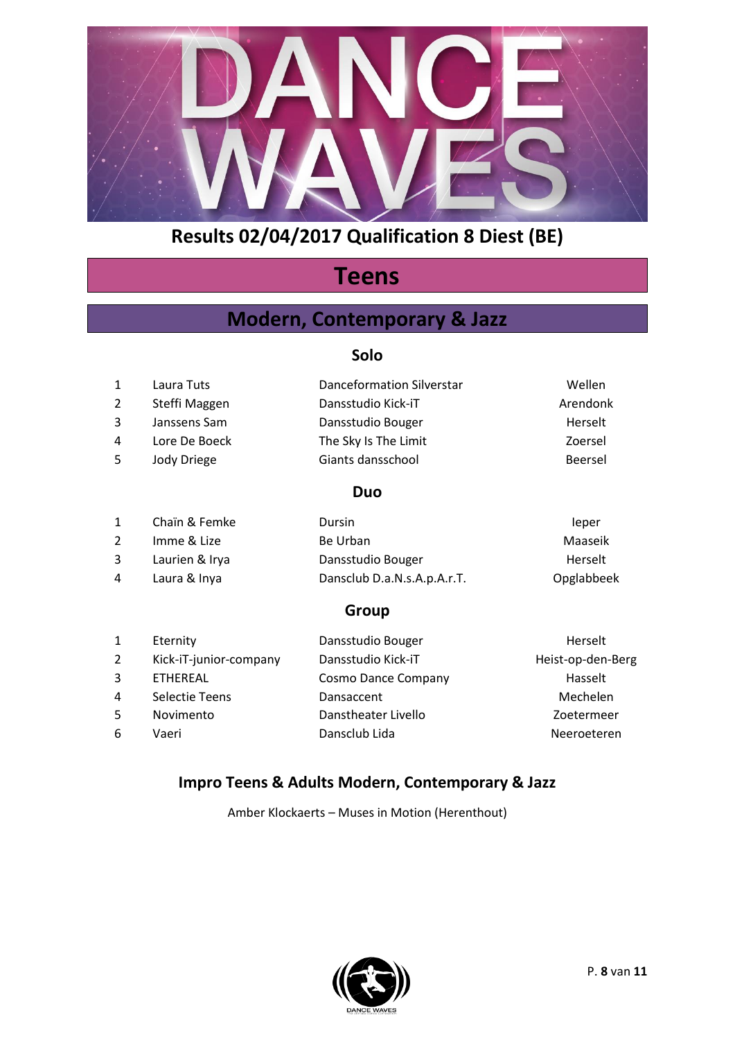

# **Teens**

## **Modern, Contemporary & Jazz**

### **Solo**

| 1              | Laura Tuts    | Danceformation Silverstar | Wellen   |
|----------------|---------------|---------------------------|----------|
| 2              | Steffi Maggen | Dansstudio Kick-iT        | Arendonk |
| 3              | Janssens Sam  | Dansstudio Bouger         | Herselt  |
| 4              | Lore De Boeck | The Sky Is The Limit      | Zoersel  |
| 5              | Jody Driege   | Giants dansschool         | Beersel  |
|                |               | <b>Duo</b>                |          |
| 1              | Chaïn & Femke | Dursin                    | leper    |
| $\overline{2}$ | Imme & Lize   | Be Urban                  | Maaseik  |

| Laurien & Irya | Dansstudio Bouger           | Herselt    |
|----------------|-----------------------------|------------|
| Laura & Inya   | Dansclub D.a.N.s.A.p.A.r.T. | Opglabbeek |

## **Group**

| Eternity               | Dansstudio Bouger   | Herselt           |
|------------------------|---------------------|-------------------|
| Kick-iT-junior-company | Dansstudio Kick-iT  | Heist-op-den-Berg |
| ETHEREAL               | Cosmo Dance Company | Hasselt           |
| Selectie Teens         | Dansaccent          | Mechelen          |
| Novimento              | Danstheater Livello | Zoetermeer        |
| Vaeri                  | Dansclub Lida       | Neeroeteren       |
|                        |                     |                   |

## **Impro Teens & Adults Modern, Contemporary & Jazz**

Amber Klockaerts – Muses in Motion (Herenthout)

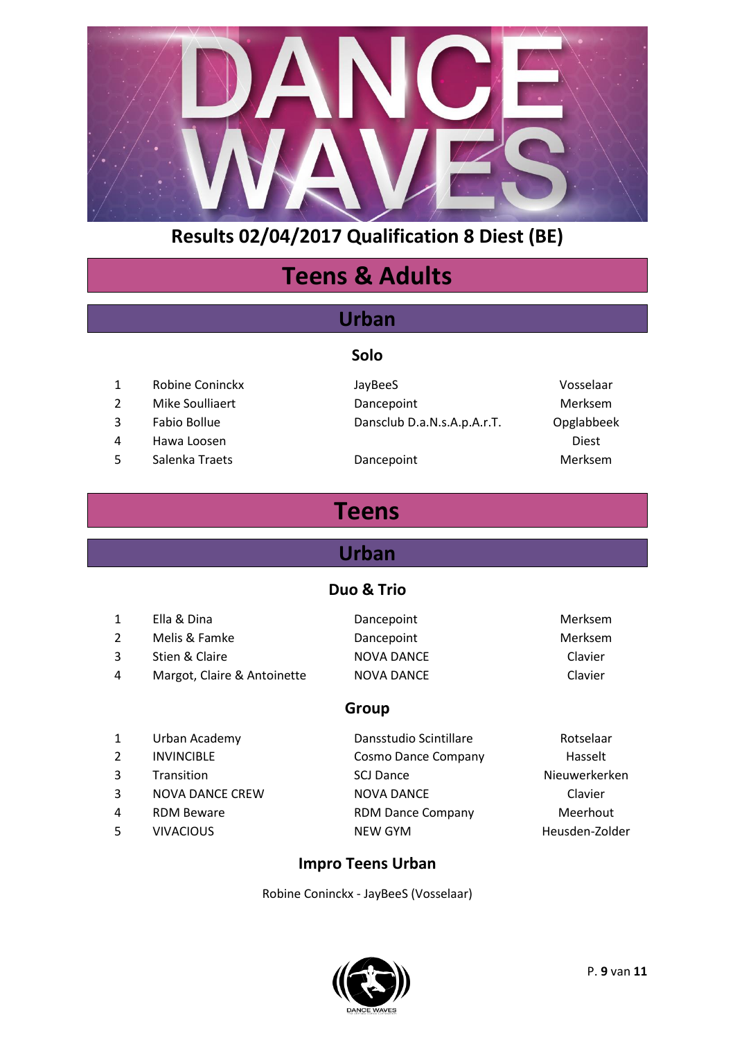

# **Teens & Adults**

## **Urban**

#### **Solo**

- 1 Robine Coninckx JayBeeS Vosselaar
- 
- 
- 4 Hawa Loosen Diest
- 5 Salenka Traets **Dancepoint** Dance Dance Dance Dance Dance Nerksem

2 Mike Soulliaert **Dancepoint** Dancepoint Merksem 3 Fabio Bollue Dansclub D.a.N.s.A.p.A.r.T. Opglabbeek

# **Teens**

# **Urban**

## **Duo & Trio**

|   | Ella & Dina                 | Dancepoint        | <b>Merksem</b> |
|---|-----------------------------|-------------------|----------------|
|   | Melis & Famke               | Dancepoint        | <b>Merksem</b> |
| 3 | Stien & Claire              | <b>NOVA DANCE</b> | Clavier        |
| 4 | Margot, Claire & Antoinette | NOVA DANCE        | Clavier        |
|   |                             |                   |                |

#### **Group**

| $\mathbf{1}$ | Urban Academy          | Dansstudio Scintillare   | Rotselaar      |
|--------------|------------------------|--------------------------|----------------|
| 2            | <b>INVINCIBLE</b>      | Cosmo Dance Company      | Hasselt        |
| 3            | Transition             | <b>SCJ Dance</b>         | Nieuwerkerken  |
| 3            | <b>NOVA DANCE CREW</b> | <b>NOVA DANCE</b>        | Clavier        |
| 4            | <b>RDM Beware</b>      | <b>RDM Dance Company</b> | Meerhout       |
| 5            | <b>VIVACIOUS</b>       | <b>NEW GYM</b>           | Heusden-Zolder |
|              |                        |                          |                |

#### **Impro Teens Urban**

Robine Coninckx - JayBeeS (Vosselaar)

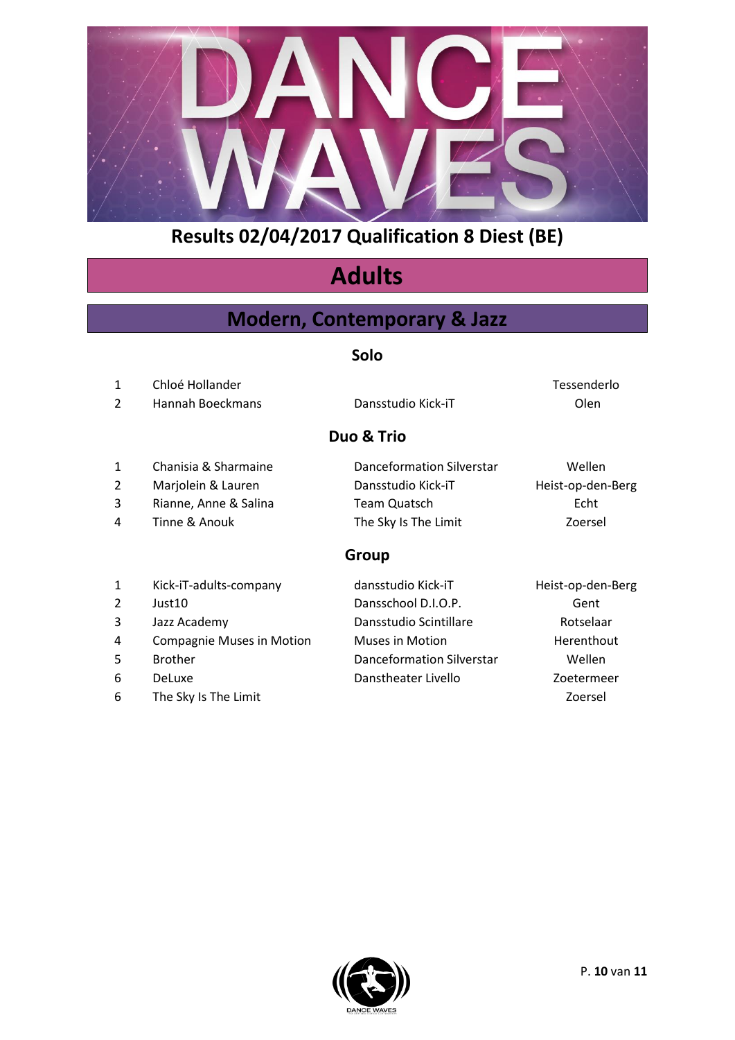

# **Adults**

## **Modern, Contemporary & Jazz**

#### **Solo**

|   |                  | Duo & Trio         |             |
|---|------------------|--------------------|-------------|
| 2 | Hannah Boeckmans | Dansstudio Kick-iT | Olen        |
|   | Chloé Hollander  |                    | Tessenderlo |

- 
- 
- 4 Tinne & Anouk The Sky Is The Limit Zoersel

1 Chanisia & Sharmaine Danceformation Silverstar Wellen 2 Marjolein & Lauren **Dansstudio Kick-iT** Heist-op-den-Berg 3 Rianne, Anne & Salina Team Quatsch Echt

## **Group**

| $\mathbf{1}$ | Kick-iT-adults-company           | dansstudio Kick-iT        | Heist-op-den-Berg |
|--------------|----------------------------------|---------------------------|-------------------|
| 2            | Just <sub>10</sub>               | Dansschool D.I.O.P.       | Gent              |
| 3            | Jazz Academy                     | Dansstudio Scintillare    | Rotselaar         |
| 4            | <b>Compagnie Muses in Motion</b> | <b>Muses in Motion</b>    | Herenthout        |
| 5.           | <b>Brother</b>                   | Danceformation Silverstar | Wellen            |
| 6            | <b>DeLuxe</b>                    | Danstheater Livello       | Zoetermeer        |
| 6            | The Sky Is The Limit             |                           | Zoersel           |